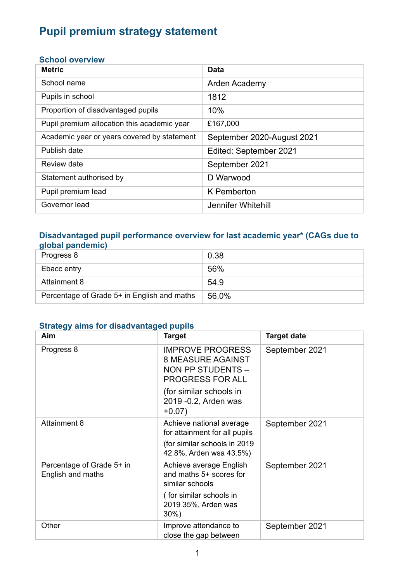# **Pupil premium strategy statement**

#### **School overview**

| <b>Metric</b>                               | Data                       |
|---------------------------------------------|----------------------------|
| School name                                 | Arden Academy              |
| Pupils in school                            | 1812                       |
| Proportion of disadvantaged pupils          | 10%                        |
| Pupil premium allocation this academic year | £167,000                   |
| Academic year or years covered by statement | September 2020-August 2021 |
| Publish date                                | Edited: September 2021     |
| Review date                                 | September 2021             |
| Statement authorised by                     | D Warwood                  |
| Pupil premium lead                          | K Pemberton                |
| Governor lead                               | Jennifer Whitehill         |

#### **Disadvantaged pupil performance overview for last academic year\* (CAGs due to global pandemic)**

| Progress 8                                  | 0.38  |
|---------------------------------------------|-------|
| Ebacc entry                                 | 56%   |
| Attainment 8                                | 54.9  |
| Percentage of Grade 5+ in English and maths | 56.0% |

#### **Strategy aims for disadvantaged pupils**

| Aim                                            | <b>Target</b>                                                                                                                                                | <b>Target date</b> |
|------------------------------------------------|--------------------------------------------------------------------------------------------------------------------------------------------------------------|--------------------|
| Progress 8                                     | <b>IMPROVE PROGRESS</b><br><b>8 MEASURE AGAINST</b><br>NON PP STUDENTS -<br>PROGRESS FOR ALL<br>(for similar schools in<br>2019 - 0.2, Arden was<br>$+0.07)$ | September 2021     |
| <b>Attainment 8</b>                            | Achieve national average<br>for attainment for all pupils<br>(for similar schools in 2019)<br>42.8%, Arden wsa 43.5%)                                        | September 2021     |
| Percentage of Grade 5+ in<br>English and maths | Achieve average English<br>and maths 5+ scores for<br>similar schools<br>(for similar schools in<br>2019 35%, Arden was<br>30%)                              | September 2021     |
| Other                                          | Improve attendance to<br>close the gap between                                                                                                               | September 2021     |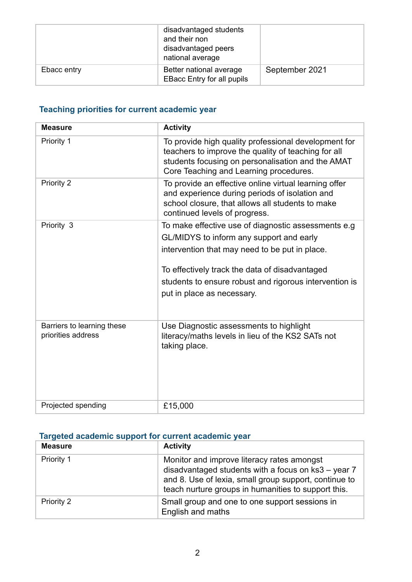|             | disadvantaged students<br>and their non<br>disadvantaged peers<br>national average |                |
|-------------|------------------------------------------------------------------------------------|----------------|
| Ebacc entry | Better national average<br><b>EBacc Entry for all pupils</b>                       | September 2021 |

### **Teaching priorities for current academic year**

| <b>Measure</b>                                   | <b>Activity</b>                                                                                                                                                                                                                                                                             |
|--------------------------------------------------|---------------------------------------------------------------------------------------------------------------------------------------------------------------------------------------------------------------------------------------------------------------------------------------------|
| Priority 1                                       | To provide high quality professional development for<br>teachers to improve the quality of teaching for all<br>students focusing on personalisation and the AMAT<br>Core Teaching and Learning procedures.                                                                                  |
| Priority 2                                       | To provide an effective online virtual learning offer<br>and experience during periods of isolation and<br>school closure, that allows all students to make<br>continued levels of progress.                                                                                                |
| Priority 3                                       | To make effective use of diagnostic assessments e.g<br>GL/MIDYS to inform any support and early<br>intervention that may need to be put in place.<br>To effectively track the data of disadvantaged<br>students to ensure robust and rigorous intervention is<br>put in place as necessary. |
| Barriers to learning these<br>priorities address | Use Diagnostic assessments to highlight<br>literacy/maths levels in lieu of the KS2 SATs not<br>taking place.                                                                                                                                                                               |
| Projected spending                               | £15,000                                                                                                                                                                                                                                                                                     |

### **Targeted academic support for current academic year**

| <b>Measure</b> | <b>Activity</b>                                                                                                                                                                                                   |
|----------------|-------------------------------------------------------------------------------------------------------------------------------------------------------------------------------------------------------------------|
| Priority 1     | Monitor and improve literacy rates amongst<br>disadvantaged students with a focus on ks3 - year 7<br>and 8. Use of lexia, small group support, continue to<br>teach nurture groups in humanities to support this. |
| Priority 2     | Small group and one to one support sessions in<br>English and maths                                                                                                                                               |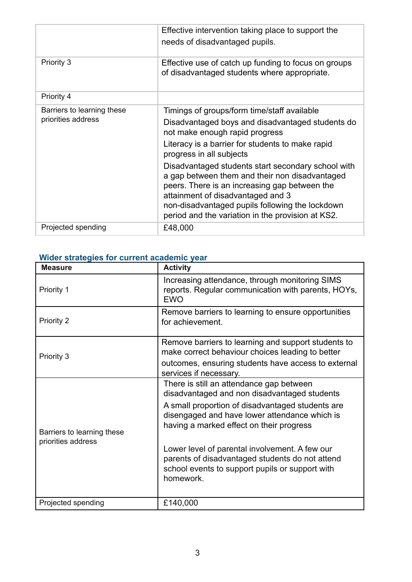|                                                  | Effective intervention taking place to support the<br>needs of disadvantaged pupils.                                                                                                                                                                                                                                                                                                                                                                                                                                    |
|--------------------------------------------------|-------------------------------------------------------------------------------------------------------------------------------------------------------------------------------------------------------------------------------------------------------------------------------------------------------------------------------------------------------------------------------------------------------------------------------------------------------------------------------------------------------------------------|
| Priority 3                                       | Effective use of catch up funding to focus on groups<br>of disadvantaged students where appropriate.                                                                                                                                                                                                                                                                                                                                                                                                                    |
| Priority 4                                       |                                                                                                                                                                                                                                                                                                                                                                                                                                                                                                                         |
| Barriers to learning these<br>priorities address | Timings of groups/form time/staff available<br>Disadvantaged boys and disadvantaged students do<br>not make enough rapid progress<br>Literacy is a barrier for students to make rapid<br>progress in all subjects<br>Disadvantaged students start secondary school with<br>a gap between them and their non disadvantaged<br>peers. There is an increasing gap between the<br>attainment of disadvantaged and 3<br>non-disadvantaged pupils following the lockdown<br>period and the variation in the provision at KS2. |
| Projected spending                               | £48,000                                                                                                                                                                                                                                                                                                                                                                                                                                                                                                                 |

## **Wider strategies for current academic year**

| <b>Measure</b>                                   | <b>Activity</b>                                                                                                                                                                                                                                                                                                                                                                                                |
|--------------------------------------------------|----------------------------------------------------------------------------------------------------------------------------------------------------------------------------------------------------------------------------------------------------------------------------------------------------------------------------------------------------------------------------------------------------------------|
| Priority 1                                       | Increasing attendance, through monitoring SIMS<br>reports. Regular communication with parents, HOYs,<br><b>EWO</b>                                                                                                                                                                                                                                                                                             |
| Priority 2                                       | Remove barriers to learning to ensure opportunities<br>for achievement.                                                                                                                                                                                                                                                                                                                                        |
| Priority 3                                       | Remove barriers to learning and support students to<br>make correct behaviour choices leading to better<br>outcomes, ensuring students have access to external<br>services if necessary.                                                                                                                                                                                                                       |
| Barriers to learning these<br>priorities address | There is still an attendance gap between<br>disadvantaged and non disadvantaged students<br>A small proportion of disadvantaged students are<br>disengaged and have lower attendance which is<br>having a marked effect on their progress<br>Lower level of parental involvement. A few our<br>parents of disadvantaged students do not attend<br>school events to support pupils or support with<br>homework. |
| Projected spending                               | £140,000                                                                                                                                                                                                                                                                                                                                                                                                       |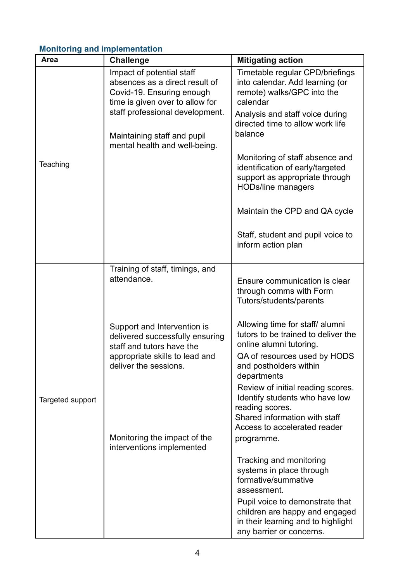### **Monitoring and implementation**

| Area             | <b>Challenge</b>                                                                                                                                       | <b>Mitigating action</b>                                                                                                                                               |
|------------------|--------------------------------------------------------------------------------------------------------------------------------------------------------|------------------------------------------------------------------------------------------------------------------------------------------------------------------------|
|                  | Impact of potential staff<br>absences as a direct result of<br>Covid-19. Ensuring enough<br>time is given over to allow for                            | Timetable regular CPD/briefings<br>into calendar. Add learning (or<br>remote) walks/GPC into the<br>calendar                                                           |
|                  | staff professional development.<br>Maintaining staff and pupil<br>mental health and well-being.                                                        | Analysis and staff voice during<br>directed time to allow work life<br>balance                                                                                         |
| Teaching         |                                                                                                                                                        | Monitoring of staff absence and<br>identification of early/targeted<br>support as appropriate through<br><b>HODs/line managers</b>                                     |
|                  |                                                                                                                                                        | Maintain the CPD and QA cycle                                                                                                                                          |
|                  |                                                                                                                                                        | Staff, student and pupil voice to<br>inform action plan                                                                                                                |
|                  | Training of staff, timings, and<br>attendance.                                                                                                         | Ensure communication is clear<br>through comms with Form<br>Tutors/students/parents                                                                                    |
|                  | Support and Intervention is<br>delivered successfully ensuring<br>staff and tutors have the<br>appropriate skills to lead and<br>deliver the sessions. | Allowing time for staff/ alumni<br>tutors to be trained to deliver the<br>online alumni tutoring.<br>QA of resources used by HODS<br>and postholders within            |
| Targeted support |                                                                                                                                                        | departments<br>Review of initial reading scores.<br>Identify students who have low<br>reading scores.<br>Shared information with staff<br>Access to accelerated reader |
|                  | Monitoring the impact of the<br>interventions implemented                                                                                              | programme.                                                                                                                                                             |
|                  |                                                                                                                                                        | Tracking and monitoring<br>systems in place through<br>formative/summative<br>assessment.                                                                              |
|                  |                                                                                                                                                        | Pupil voice to demonstrate that<br>children are happy and engaged<br>in their learning and to highlight<br>any barrier or concerns.                                    |